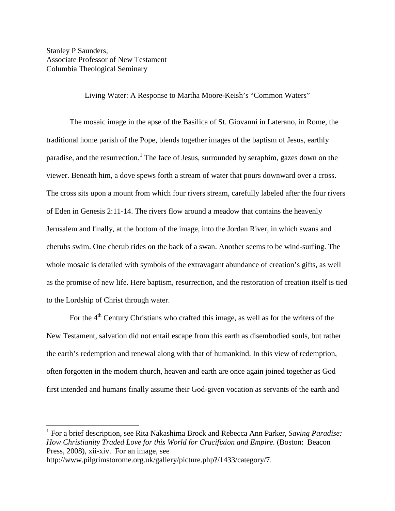Stanley P Saunders, Associate Professor of New Testament Columbia Theological Seminary

Living Water: A Response to Martha Moore-Keish's "Common Waters"

The mosaic image in the apse of the Basilica of St. Giovanni in Laterano, in Rome, the traditional home parish of the Pope, blends together images of the baptism of Jesus, earthly paradise, and the resurrection.<sup>[1](#page-0-0)</sup> The face of Jesus, surrounded by seraphim, gazes down on the viewer. Beneath him, a dove spews forth a stream of water that pours downward over a cross. The cross sits upon a mount from which four rivers stream, carefully labeled after the four rivers of Eden in Genesis 2:11-14. The rivers flow around a meadow that contains the heavenly Jerusalem and finally, at the bottom of the image, into the Jordan River, in which swans and cherubs swim. One cherub rides on the back of a swan. Another seems to be wind-surfing. The whole mosaic is detailed with symbols of the extravagant abundance of creation's gifts, as well as the promise of new life. Here baptism, resurrection, and the restoration of creation itself is tied to the Lordship of Christ through water.

For the  $4<sup>th</sup>$  Century Christians who crafted this image, as well as for the writers of the New Testament, salvation did not entail escape from this earth as disembodied souls, but rather the earth's redemption and renewal along with that of humankind. In this view of redemption, often forgotten in the modern church, heaven and earth are once again joined together as God first intended and humans finally assume their God-given vocation as servants of the earth and

<span id="page-0-0"></span> <sup>1</sup> For a brief description, see Rita Nakashima Brock and Rebecca Ann Parker, *Saving Paradise: How Christianity Traded Love for this World for Crucifixion and Empire.* (Boston: Beacon Press, 2008), xii-xiv. For an image, see

http://www.pilgrimstorome.org.uk/gallery/picture.php?/1433/category/7.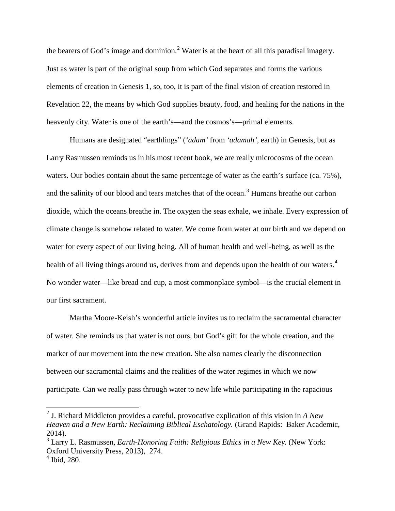the bearers of God's image and dominion.<sup>[2](#page-1-0)</sup> Water is at the heart of all this paradisal imagery. Just as water is part of the original soup from which God separates and forms the various elements of creation in Genesis 1, so, too, it is part of the final vision of creation restored in Revelation 22, the means by which God supplies beauty, food, and healing for the nations in the heavenly city. Water is one of the earth's—and the cosmos's—primal elements.

Humans are designated "earthlings" (*'adam'* from *'adamah',* earth) in Genesis, but as Larry Rasmussen reminds us in his most recent book, we are really microcosms of the ocean waters. Our bodies contain about the same percentage of water as the earth's surface (ca. 75%), and the salinity of our blood and tears matches that of the ocean.<sup>[3](#page-1-1)</sup> Humans breathe out carbon dioxide, which the oceans breathe in. The oxygen the seas exhale, we inhale. Every expression of climate change is somehow related to water. We come from water at our birth and we depend on water for every aspect of our living being. All of human health and well-being, as well as the health of all living things around us, derives from and depends upon the health of our waters.<sup>[4](#page-1-2)</sup> No wonder water—like bread and cup, a most commonplace symbol—is the crucial element in our first sacrament.

Martha Moore-Keish's wonderful article invites us to reclaim the sacramental character of water. She reminds us that water is not ours, but God's gift for the whole creation, and the marker of our movement into the new creation. She also names clearly the disconnection between our sacramental claims and the realities of the water regimes in which we now participate. Can we really pass through water to new life while participating in the rapacious

<span id="page-1-0"></span> <sup>2</sup> J. Richard Middleton provides a careful, provocative explication of this vision in *A New Heaven and a New Earth: Reclaiming Biblical Eschatology.* (Grand Rapids: Baker Academic, 2014).

<span id="page-1-1"></span><sup>3</sup> Larry L. Rasmussen, *Earth-Honoring Faith: Religious Ethics in a New Key.* (New York: Oxford University Press, 2013), 274.

<span id="page-1-2"></span> $<sup>4</sup>$  Ibid, 280.</sup>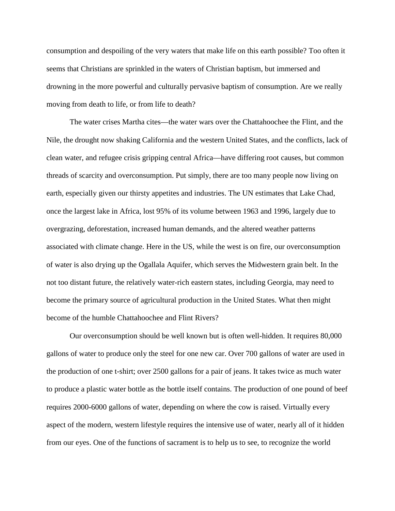consumption and despoiling of the very waters that make life on this earth possible? Too often it seems that Christians are sprinkled in the waters of Christian baptism, but immersed and drowning in the more powerful and culturally pervasive baptism of consumption. Are we really moving from death to life, or from life to death?

The water crises Martha cites—the water wars over the Chattahoochee the Flint, and the Nile, the drought now shaking California and the western United States, and the conflicts, lack of clean water, and refugee crisis gripping central Africa—have differing root causes, but common threads of scarcity and overconsumption. Put simply, there are too many people now living on earth, especially given our thirsty appetites and industries. The UN estimates that Lake Chad, once the largest lake in Africa, lost 95% of its volume between 1963 and 1996, largely due to overgrazing, deforestation, increased human demands, and the altered weather patterns associated with climate change. Here in the US, while the west is on fire, our overconsumption of water is also drying up the Ogallala Aquifer, which serves the Midwestern grain belt. In the not too distant future, the relatively water-rich eastern states, including Georgia, may need to become the primary source of agricultural production in the United States. What then might become of the humble Chattahoochee and Flint Rivers?

Our overconsumption should be well known but is often well-hidden. It requires 80,000 gallons of water to produce only the steel for one new car. Over 700 gallons of water are used in the production of one t-shirt; over 2500 gallons for a pair of jeans. It takes twice as much water to produce a plastic water bottle as the bottle itself contains. The production of one pound of beef requires 2000-6000 gallons of water, depending on where the cow is raised. Virtually every aspect of the modern, western lifestyle requires the intensive use of water, nearly all of it hidden from our eyes. One of the functions of sacrament is to help us to see, to recognize the world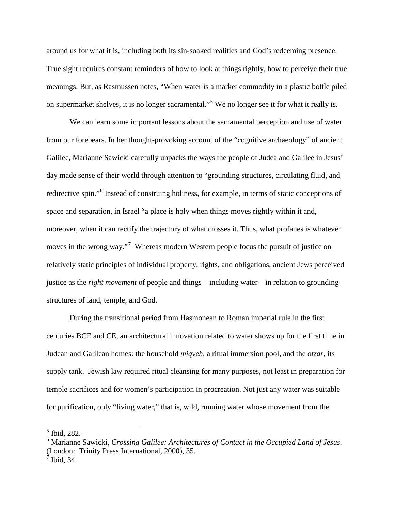around us for what it is, including both its sin-soaked realities and God's redeeming presence. True sight requires constant reminders of how to look at things rightly, how to perceive their true meanings. But, as Rasmussen notes, "When water is a market commodity in a plastic bottle piled on supermarket shelves, it is no longer sacramental."[5](#page-3-0) We no longer see it for what it really is.

We can learn some important lessons about the sacramental perception and use of water from our forebears. In her thought-provoking account of the "cognitive archaeology" of ancient Galilee, Marianne Sawicki carefully unpacks the ways the people of Judea and Galilee in Jesus' day made sense of their world through attention to "grounding structures, circulating fluid, and redirective spin."[6](#page-3-1) Instead of construing holiness, for example, in terms of static conceptions of space and separation, in Israel "a place is holy when things moves rightly within it and, moreover, when it can rectify the trajectory of what crosses it. Thus, what profanes is whatever moves in the wrong way."<sup>[7](#page-3-2)</sup> Whereas modern Western people focus the pursuit of justice on relatively static principles of individual property, rights, and obligations, ancient Jews perceived justice as the *right movement* of people and things—including water—in relation to grounding structures of land, temple, and God.

During the transitional period from Hasmonean to Roman imperial rule in the first centuries BCE and CE, an architectural innovation related to water shows up for the first time in Judean and Galilean homes: the household *miqveh,* a ritual immersion pool, and the *otzar,* its supply tank. Jewish law required ritual cleansing for many purposes, not least in preparation for temple sacrifices and for women's participation in procreation. Not just any water was suitable for purification, only "living water," that is, wild, running water whose movement from the

<span id="page-3-0"></span> <sup>5</sup> Ibid, 282.

<span id="page-3-2"></span><span id="page-3-1"></span><sup>6</sup> Marianne Sawicki, *Crossing Galilee: Architectures of Contact in the Occupied Land of Jesus.* (London: Trinity Press International, 2000), 35.  $<sup>7</sup>$  Ibid, 34.</sup>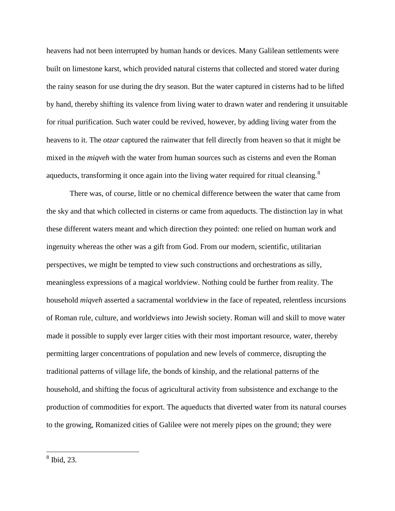heavens had not been interrupted by human hands or devices. Many Galilean settlements were built on limestone karst, which provided natural cisterns that collected and stored water during the rainy season for use during the dry season. But the water captured in cisterns had to be lifted by hand, thereby shifting its valence from living water to drawn water and rendering it unsuitable for ritual purification. Such water could be revived, however, by adding living water from the heavens to it. The *otzar* captured the rainwater that fell directly from heaven so that it might be mixed in the *miqveh* with the water from human sources such as cisterns and even the Roman aqueducts, transforming it once again into the living water required for ritual cleansing.<sup>[8](#page-4-0)</sup>

There was, of course, little or no chemical difference between the water that came from the sky and that which collected in cisterns or came from aqueducts. The distinction lay in what these different waters meant and which direction they pointed: one relied on human work and ingenuity whereas the other was a gift from God. From our modern, scientific, utilitarian perspectives, we might be tempted to view such constructions and orchestrations as silly, meaningless expressions of a magical worldview. Nothing could be further from reality. The household *miqveh* asserted a sacramental worldview in the face of repeated, relentless incursions of Roman rule, culture, and worldviews into Jewish society. Roman will and skill to move water made it possible to supply ever larger cities with their most important resource, water, thereby permitting larger concentrations of population and new levels of commerce, disrupting the traditional patterns of village life, the bonds of kinship, and the relational patterns of the household, and shifting the focus of agricultural activity from subsistence and exchange to the production of commodities for export. The aqueducts that diverted water from its natural courses to the growing, Romanized cities of Galilee were not merely pipes on the ground; they were

<span id="page-4-0"></span> <sup>8</sup> Ibid, 23.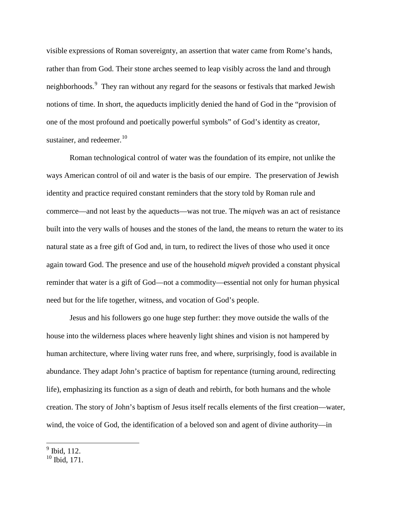visible expressions of Roman sovereignty, an assertion that water came from Rome's hands, rather than from God. Their stone arches seemed to leap visibly across the land and through neighborhoods.<sup>[9](#page-5-0)</sup> They ran without any regard for the seasons or festivals that marked Jewish notions of time. In short, the aqueducts implicitly denied the hand of God in the "provision of one of the most profound and poetically powerful symbols" of God's identity as creator, sustainer, and redeemer. $10$ 

Roman technological control of water was the foundation of its empire, not unlike the ways American control of oil and water is the basis of our empire. The preservation of Jewish identity and practice required constant reminders that the story told by Roman rule and commerce—and not least by the aqueducts—was not true. The *miqveh* was an act of resistance built into the very walls of houses and the stones of the land, the means to return the water to its natural state as a free gift of God and, in turn, to redirect the lives of those who used it once again toward God. The presence and use of the household *miqveh* provided a constant physical reminder that water is a gift of God—not a commodity—essential not only for human physical need but for the life together, witness, and vocation of God's people.

Jesus and his followers go one huge step further: they move outside the walls of the house into the wilderness places where heavenly light shines and vision is not hampered by human architecture, where living water runs free, and where, surprisingly, food is available in abundance. They adapt John's practice of baptism for repentance (turning around, redirecting life), emphasizing its function as a sign of death and rebirth, for both humans and the whole creation. The story of John's baptism of Jesus itself recalls elements of the first creation—water, wind, the voice of God, the identification of a beloved son and agent of divine authority—in

<span id="page-5-0"></span> $\frac{9}{9}$  Ibid, 112.

<span id="page-5-1"></span> $10$  Ibid, 171.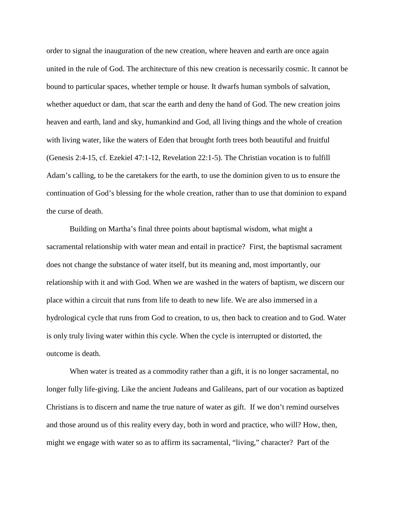order to signal the inauguration of the new creation, where heaven and earth are once again united in the rule of God. The architecture of this new creation is necessarily cosmic. It cannot be bound to particular spaces, whether temple or house. It dwarfs human symbols of salvation, whether aqueduct or dam, that scar the earth and deny the hand of God. The new creation joins heaven and earth, land and sky, humankind and God, all living things and the whole of creation with living water, like the waters of Eden that brought forth trees both beautiful and fruitful (Genesis 2:4-15, cf. Ezekiel 47:1-12, Revelation 22:1-5). The Christian vocation is to fulfill Adam's calling, to be the caretakers for the earth, to use the dominion given to us to ensure the continuation of God's blessing for the whole creation, rather than to use that dominion to expand the curse of death.

Building on Martha's final three points about baptismal wisdom, what might a sacramental relationship with water mean and entail in practice? First, the baptismal sacrament does not change the substance of water itself, but its meaning and, most importantly, our relationship with it and with God. When we are washed in the waters of baptism, we discern our place within a circuit that runs from life to death to new life. We are also immersed in a hydrological cycle that runs from God to creation, to us, then back to creation and to God. Water is only truly living water within this cycle. When the cycle is interrupted or distorted, the outcome is death.

When water is treated as a commodity rather than a gift, it is no longer sacramental, no longer fully life-giving. Like the ancient Judeans and Galileans, part of our vocation as baptized Christians is to discern and name the true nature of water as gift. If we don't remind ourselves and those around us of this reality every day, both in word and practice, who will? How, then, might we engage with water so as to affirm its sacramental, "living," character? Part of the